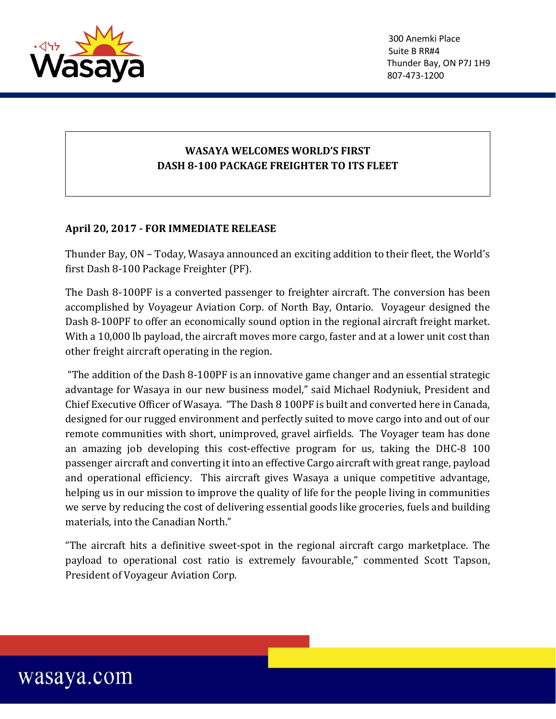

## **WASAYA WELCOMES WORLD'S FIRST DASH 8-100 PACKAGE FREIGHTER TO ITS FLEET**

## **April 20, 2017 - FOR IMMEDIATE RELEASE**

Thunder Bay, ON – Today, Wasaya announced an exciting addition to their fleet, the World's first Dash 8-100 Package Freighter (PF).

The Dash 8-100PF is a converted passenger to freighter aircraft. The conversion has been accomplished by Voyageur Aviation Corp. of North Bay, Ontario. Voyageur designed the Dash 8-100PF to offer an economically sound option in the regional aircraft freight market. With a 10,000 lb payload, the aircraft moves more cargo, faster and at a lower unit cost than other freight aircraft operating in the region.

"The addition of the Dash 8-100PF is an innovative game changer and an essential strategic advantage for Wasaya in our new business model," said Michael Rodyniuk, President and Chief Executive Officer of Wasaya. "The Dash 8 100PF is built and converted here in Canada, designed for our rugged environment and perfectly suited to move cargo into and out of our remote communities with short, unimproved, gravel airfields. The Voyager team has done an amazing job developing this cost-effective program for us, taking the DHC-8 100 passenger aircraft and converting it into an effective Cargo aircraft with great range, payload and operational efficiency. This aircraft gives Wasaya a unique competitive advantage, helping us in our mission to improve the quality of life for the people living in communities we serve by reducing the cost of delivering essential goods like groceries, fuels and building materials, into the Canadian North."

"The aircraft hits a definitive sweet-spot in the regional aircraft cargo marketplace. The payload to operational cost ratio is extremely favourable," commented Scott Tapson, President of Voyageur Aviation Corp.